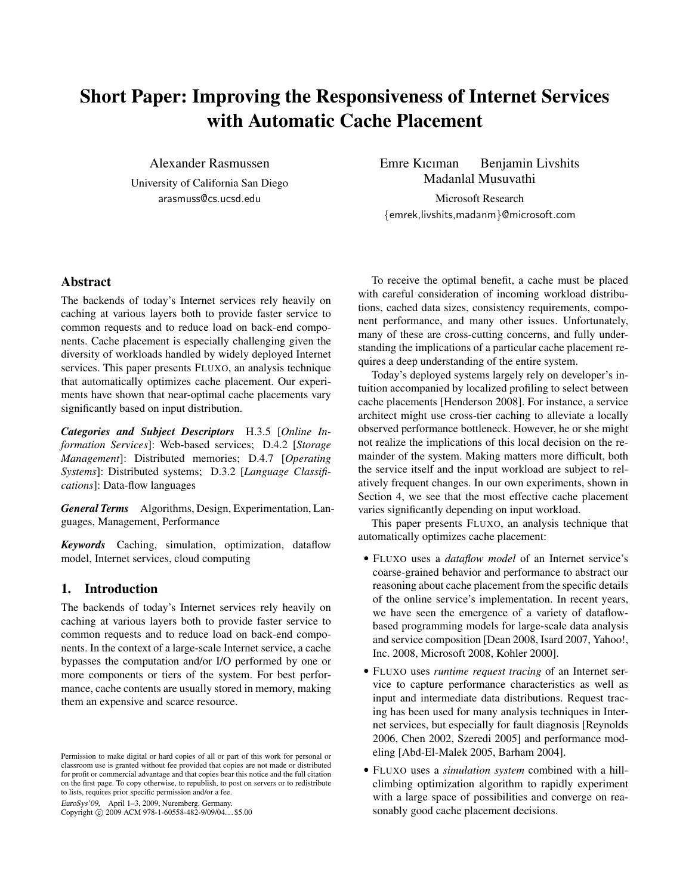# Short Paper: Improving the Responsiveness of Internet Services with Automatic Cache Placement

Alexander Rasmussen

University of California San Diego arasmuss@cs.ucsd.edu

Emre Kıcıman Benjamin Livshits Madanlal Musuvathi Microsoft Research {emrek,livshits,madanm}@microsoft.com

# Abstract

The backends of today's Internet services rely heavily on caching at various layers both to provide faster service to common requests and to reduce load on back-end components. Cache placement is especially challenging given the diversity of workloads handled by widely deployed Internet services. This paper presents FLUXO, an analysis technique that automatically optimizes cache placement. Our experiments have shown that near-optimal cache placements vary significantly based on input distribution.

*Categories and Subject Descriptors* H.3.5 [*Online Information Services*]: Web-based services; D.4.2 [*Storage Management*]: Distributed memories; D.4.7 [*Operating Systems*]: Distributed systems; D.3.2 [*Language Classifications*]: Data-flow languages

*General Terms* Algorithms, Design, Experimentation, Languages, Management, Performance

*Keywords* Caching, simulation, optimization, dataflow model, Internet services, cloud computing

## 1. Introduction

The backends of today's Internet services rely heavily on caching at various layers both to provide faster service to common requests and to reduce load on back-end components. In the context of a large-scale Internet service, a cache bypasses the computation and/or I/O performed by one or more components or tiers of the system. For best performance, cache contents are usually stored in memory, making them an expensive and scarce resource.

EuroSys'09, April 1–3, 2009, Nuremberg, Germany.

Copyright © 2009 ACM 978-1-60558-482-9/09/04... \$5.00

To receive the optimal benefit, a cache must be placed with careful consideration of incoming workload distributions, cached data sizes, consistency requirements, component performance, and many other issues. Unfortunately, many of these are cross-cutting concerns, and fully understanding the implications of a particular cache placement requires a deep understanding of the entire system.

Today's deployed systems largely rely on developer's intuition accompanied by localized profiling to select between cache placements [Henderson 2008]. For instance, a service architect might use cross-tier caching to alleviate a locally observed performance bottleneck. However, he or she might not realize the implications of this local decision on the remainder of the system. Making matters more difficult, both the service itself and the input workload are subject to relatively frequent changes. In our own experiments, shown in Section 4, we see that the most effective cache placement varies significantly depending on input workload.

This paper presents FLUXO, an analysis technique that automatically optimizes cache placement:

- FLUXO uses a *dataflow model* of an Internet service's coarse-grained behavior and performance to abstract our reasoning about cache placement from the specific details of the online service's implementation. In recent years, we have seen the emergence of a variety of dataflowbased programming models for large-scale data analysis and service composition [Dean 2008, Isard 2007, Yahoo!, Inc. 2008, Microsoft 2008, Kohler 2000].
- FLUXO uses *runtime request tracing* of an Internet service to capture performance characteristics as well as input and intermediate data distributions. Request tracing has been used for many analysis techniques in Internet services, but especially for fault diagnosis [Reynolds 2006, Chen 2002, Szeredi 2005] and performance modeling [Abd-El-Malek 2005, Barham 2004].
- FLUXO uses a *simulation system* combined with a hillclimbing optimization algorithm to rapidly experiment with a large space of possibilities and converge on reasonably good cache placement decisions.

Permission to make digital or hard copies of all or part of this work for personal or classroom use is granted without fee provided that copies are not made or distributed for profit or commercial advantage and that copies bear this notice and the full citation on the first page. To copy otherwise, to republish, to post on servers or to redistribute to lists, requires prior specific permission and/or a fee.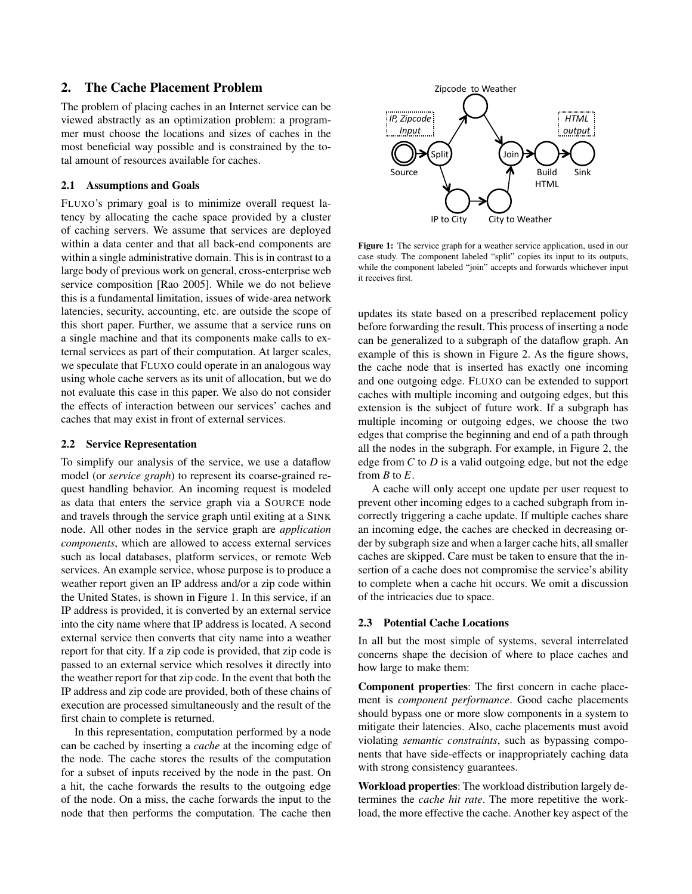## 2. The Cache Placement Problem

The problem of placing caches in an Internet service can be viewed abstractly as an optimization problem: a programmer must choose the locations and sizes of caches in the most beneficial way possible and is constrained by the total amount of resources available for caches.

## 2.1 Assumptions and Goals

FLUXO's primary goal is to minimize overall request latency by allocating the cache space provided by a cluster of caching servers. We assume that services are deployed within a data center and that all back-end components are within a single administrative domain. This is in contrast to a large body of previous work on general, cross-enterprise web service composition [Rao 2005]. While we do not believe this is a fundamental limitation, issues of wide-area network latencies, security, accounting, etc. are outside the scope of this short paper. Further, we assume that a service runs on a single machine and that its components make calls to external services as part of their computation. At larger scales, we speculate that FLUXO could operate in an analogous way using whole cache servers as its unit of allocation, but we do not evaluate this case in this paper. We also do not consider the effects of interaction between our services' caches and caches that may exist in front of external services.

#### 2.2 Service Representation

To simplify our analysis of the service, we use a dataflow model (or *service graph*) to represent its coarse-grained request handling behavior. An incoming request is modeled as data that enters the service graph via a SOURCE node and travels through the service graph until exiting at a SINK node. All other nodes in the service graph are *application components*, which are allowed to access external services such as local databases, platform services, or remote Web services. An example service, whose purpose is to produce a weather report given an IP address and/or a zip code within the United States, is shown in Figure 1. In this service, if an IP address is provided, it is converted by an external service into the city name where that IP address is located. A second external service then converts that city name into a weather report for that city. If a zip code is provided, that zip code is passed to an external service which resolves it directly into the weather report for that zip code. In the event that both the IP address and zip code are provided, both of these chains of execution are processed simultaneously and the result of the first chain to complete is returned.

In this representation, computation performed by a node can be cached by inserting a *cache* at the incoming edge of the node. The cache stores the results of the computation for a subset of inputs received by the node in the past. On a hit, the cache forwards the results to the outgoing edge of the node. On a miss, the cache forwards the input to the node that then performs the computation. The cache then



Figure 1: The service graph for a weather service application, used in our case study. The component labeled "split" copies its input to its outputs, while the component labeled "join" accepts and forwards whichever input it receives first.

updates its state based on a prescribed replacement policy before forwarding the result. This process of inserting a node can be generalized to a subgraph of the dataflow graph. An example of this is shown in Figure 2. As the figure shows, the cache node that is inserted has exactly one incoming and one outgoing edge. FLUXO can be extended to support caches with multiple incoming and outgoing edges, but this extension is the subject of future work. If a subgraph has multiple incoming or outgoing edges, we choose the two edges that comprise the beginning and end of a path through all the nodes in the subgraph. For example, in Figure 2, the edge from *C* to *D* is a valid outgoing edge, but not the edge from *B* to *E*.

A cache will only accept one update per user request to prevent other incoming edges to a cached subgraph from incorrectly triggering a cache update. If multiple caches share an incoming edge, the caches are checked in decreasing order by subgraph size and when a larger cache hits, all smaller caches are skipped. Care must be taken to ensure that the insertion of a cache does not compromise the service's ability to complete when a cache hit occurs. We omit a discussion of the intricacies due to space.

#### 2.3 Potential Cache Locations

In all but the most simple of systems, several interrelated concerns shape the decision of where to place caches and how large to make them:

Component properties: The first concern in cache placement is *component performance*. Good cache placements should bypass one or more slow components in a system to mitigate their latencies. Also, cache placements must avoid violating *semantic constraints*, such as bypassing components that have side-effects or inappropriately caching data with strong consistency guarantees.

Workload properties: The workload distribution largely determines the *cache hit rate*. The more repetitive the workload, the more effective the cache. Another key aspect of the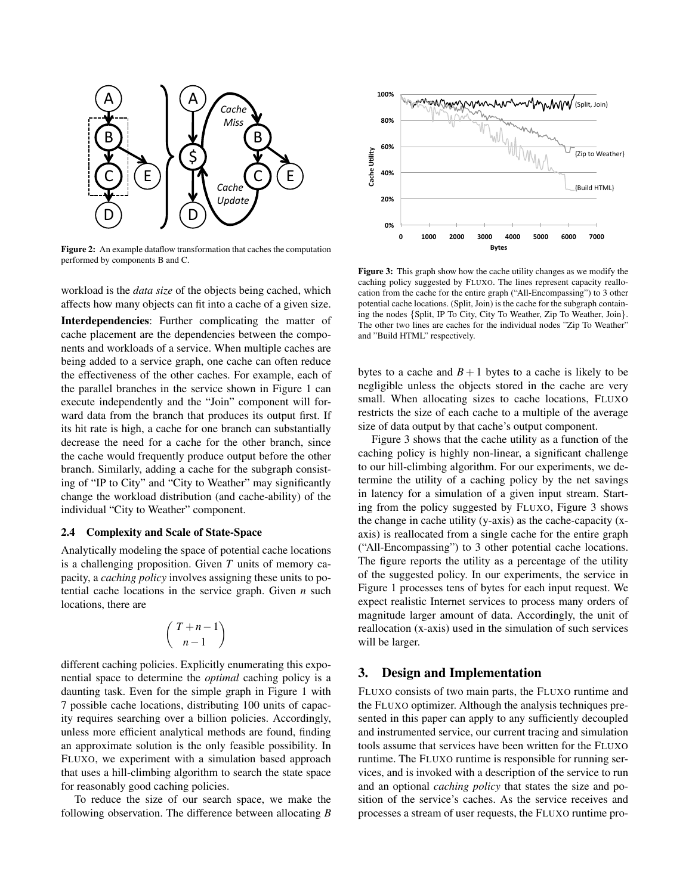

Figure 2: An example dataflow transformation that caches the computation performed by components B and C.

workload is the *data size* of the objects being cached, which affects how many objects can fit into a cache of a given size.

Interdependencies: Further complicating the matter of cache placement are the dependencies between the components and workloads of a service. When multiple caches are being added to a service graph, one cache can often reduce the effectiveness of the other caches. For example, each of the parallel branches in the service shown in Figure 1 can execute independently and the "Join" component will forward data from the branch that produces its output first. If its hit rate is high, a cache for one branch can substantially decrease the need for a cache for the other branch, since the cache would frequently produce output before the other branch. Similarly, adding a cache for the subgraph consisting of "IP to City" and "City to Weather" may significantly change the workload distribution (and cache-ability) of the individual "City to Weather" component.

#### 2.4 Complexity and Scale of State-Space

Analytically modeling the space of potential cache locations is a challenging proposition. Given *T* units of memory capacity, a *caching policy* involves assigning these units to potential cache locations in the service graph. Given *n* such locations, there are

$$
\binom{T+n-1}{n-1}
$$

different caching policies. Explicitly enumerating this exponential space to determine the *optimal* caching policy is a daunting task. Even for the simple graph in Figure 1 with 7 possible cache locations, distributing 100 units of capacity requires searching over a billion policies. Accordingly, unless more efficient analytical methods are found, finding an approximate solution is the only feasible possibility. In FLUXO, we experiment with a simulation based approach that uses a hill-climbing algorithm to search the state space for reasonably good caching policies.

To reduce the size of our search space, we make the following observation. The difference between allocating *B*



Figure 3: This graph show how the cache utility changes as we modify the caching policy suggested by FLUXO. The lines represent capacity reallocation from the cache for the entire graph ("All-Encompassing") to 3 other potential cache locations. (Split, Join) is the cache for the subgraph containing the nodes {Split, IP To City, City To Weather, Zip To Weather, Join}. The other two lines are caches for the individual nodes "Zip To Weather" and "Build HTML" respectively.

bytes to a cache and  $B + 1$  bytes to a cache is likely to be negligible unless the objects stored in the cache are very small. When allocating sizes to cache locations, FLUXO restricts the size of each cache to a multiple of the average size of data output by that cache's output component.

Figure 3 shows that the cache utility as a function of the caching policy is highly non-linear, a significant challenge to our hill-climbing algorithm. For our experiments, we determine the utility of a caching policy by the net savings in latency for a simulation of a given input stream. Starting from the policy suggested by FLUXO, Figure 3 shows the change in cache utility (y-axis) as the cache-capacity (xaxis) is reallocated from a single cache for the entire graph ("All-Encompassing") to 3 other potential cache locations. The figure reports the utility as a percentage of the utility of the suggested policy. In our experiments, the service in Figure 1 processes tens of bytes for each input request. We expect realistic Internet services to process many orders of magnitude larger amount of data. Accordingly, the unit of reallocation (x-axis) used in the simulation of such services will be larger.

## 3. Design and Implementation

FLUXO consists of two main parts, the FLUXO runtime and the FLUXO optimizer. Although the analysis techniques presented in this paper can apply to any sufficiently decoupled and instrumented service, our current tracing and simulation tools assume that services have been written for the FLUXO runtime. The FLUXO runtime is responsible for running services, and is invoked with a description of the service to run and an optional *caching policy* that states the size and position of the service's caches. As the service receives and processes a stream of user requests, the FLUXO runtime pro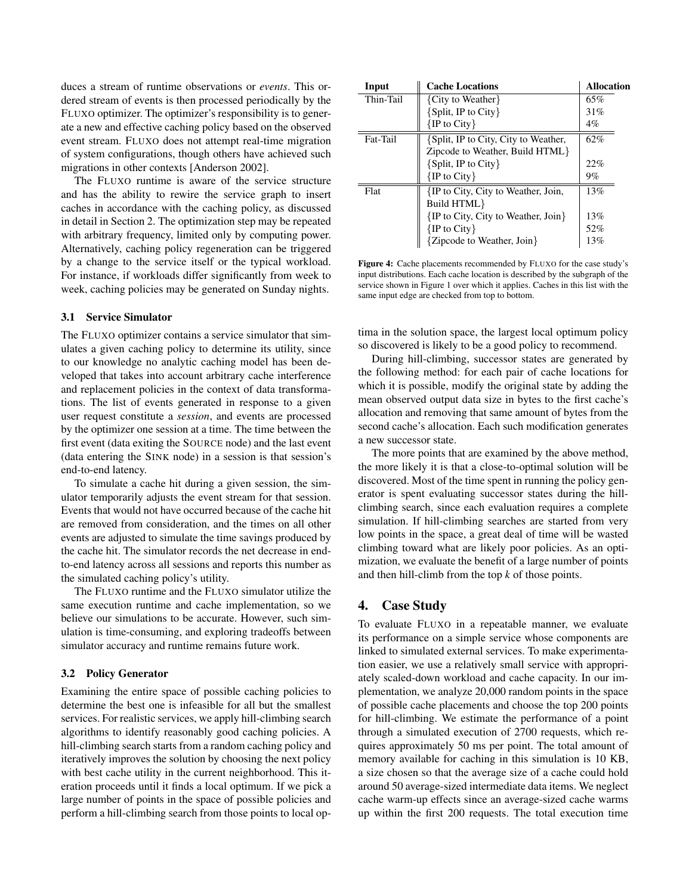duces a stream of runtime observations or *events*. This ordered stream of events is then processed periodically by the FLUXO optimizer. The optimizer's responsibility is to generate a new and effective caching policy based on the observed event stream. FLUXO does not attempt real-time migration of system configurations, though others have achieved such migrations in other contexts [Anderson 2002].

The FLUXO runtime is aware of the service structure and has the ability to rewire the service graph to insert caches in accordance with the caching policy, as discussed in detail in Section 2. The optimization step may be repeated with arbitrary frequency, limited only by computing power. Alternatively, caching policy regeneration can be triggered by a change to the service itself or the typical workload. For instance, if workloads differ significantly from week to week, caching policies may be generated on Sunday nights.

#### 3.1 Service Simulator

The FLUXO optimizer contains a service simulator that simulates a given caching policy to determine its utility, since to our knowledge no analytic caching model has been developed that takes into account arbitrary cache interference and replacement policies in the context of data transformations. The list of events generated in response to a given user request constitute a *session*, and events are processed by the optimizer one session at a time. The time between the first event (data exiting the SOURCE node) and the last event (data entering the SINK node) in a session is that session's end-to-end latency.

To simulate a cache hit during a given session, the simulator temporarily adjusts the event stream for that session. Events that would not have occurred because of the cache hit are removed from consideration, and the times on all other events are adjusted to simulate the time savings produced by the cache hit. The simulator records the net decrease in endto-end latency across all sessions and reports this number as the simulated caching policy's utility.

The FLUXO runtime and the FLUXO simulator utilize the same execution runtime and cache implementation, so we believe our simulations to be accurate. However, such simulation is time-consuming, and exploring tradeoffs between simulator accuracy and runtime remains future work.

#### 3.2 Policy Generator

Examining the entire space of possible caching policies to determine the best one is infeasible for all but the smallest services. For realistic services, we apply hill-climbing search algorithms to identify reasonably good caching policies. A hill-climbing search starts from a random caching policy and iteratively improves the solution by choosing the next policy with best cache utility in the current neighborhood. This iteration proceeds until it finds a local optimum. If we pick a large number of points in the space of possible policies and perform a hill-climbing search from those points to local op-

| Input     | <b>Cache Locations</b>               | <b>Allocation</b> |
|-----------|--------------------------------------|-------------------|
| Thin-Tail | {City to Weather}                    | 65%               |
|           | $\{Split, IP$ to City $\}$           | 31%               |
|           | $\{IP\ to\ City\}$                   | 4%                |
| Fat-Tail  | {Split, IP to City, City to Weather, | 62%               |
|           | Zipcode to Weather, Build HTML       |                   |
|           | $\{Split, IP$ to City $\}$           | 22%               |
|           | $\{IP\ to\ City\}$                   | $9\%$             |
| Flat      | IP to City, City to Weather, Join,   | 13%               |
|           | Build HTML}                          |                   |
|           | {IP to City, City to Weather, Join}  | 13%               |
|           | $\{IP\ to\ City\}$                   | 52%               |
|           | {Zipcode to Weather, Join}           | 13%               |

Figure 4: Cache placements recommended by FLUXO for the case study's input distributions. Each cache location is described by the subgraph of the service shown in Figure 1 over which it applies. Caches in this list with the same input edge are checked from top to bottom.

tima in the solution space, the largest local optimum policy so discovered is likely to be a good policy to recommend.

During hill-climbing, successor states are generated by the following method: for each pair of cache locations for which it is possible, modify the original state by adding the mean observed output data size in bytes to the first cache's allocation and removing that same amount of bytes from the second cache's allocation. Each such modification generates a new successor state.

The more points that are examined by the above method, the more likely it is that a close-to-optimal solution will be discovered. Most of the time spent in running the policy generator is spent evaluating successor states during the hillclimbing search, since each evaluation requires a complete simulation. If hill-climbing searches are started from very low points in the space, a great deal of time will be wasted climbing toward what are likely poor policies. As an optimization, we evaluate the benefit of a large number of points and then hill-climb from the top *k* of those points.

#### 4. Case Study

To evaluate FLUXO in a repeatable manner, we evaluate its performance on a simple service whose components are linked to simulated external services. To make experimentation easier, we use a relatively small service with appropriately scaled-down workload and cache capacity. In our implementation, we analyze 20,000 random points in the space of possible cache placements and choose the top 200 points for hill-climbing. We estimate the performance of a point through a simulated execution of 2700 requests, which requires approximately 50 ms per point. The total amount of memory available for caching in this simulation is 10 KB, a size chosen so that the average size of a cache could hold around 50 average-sized intermediate data items. We neglect cache warm-up effects since an average-sized cache warms up within the first 200 requests. The total execution time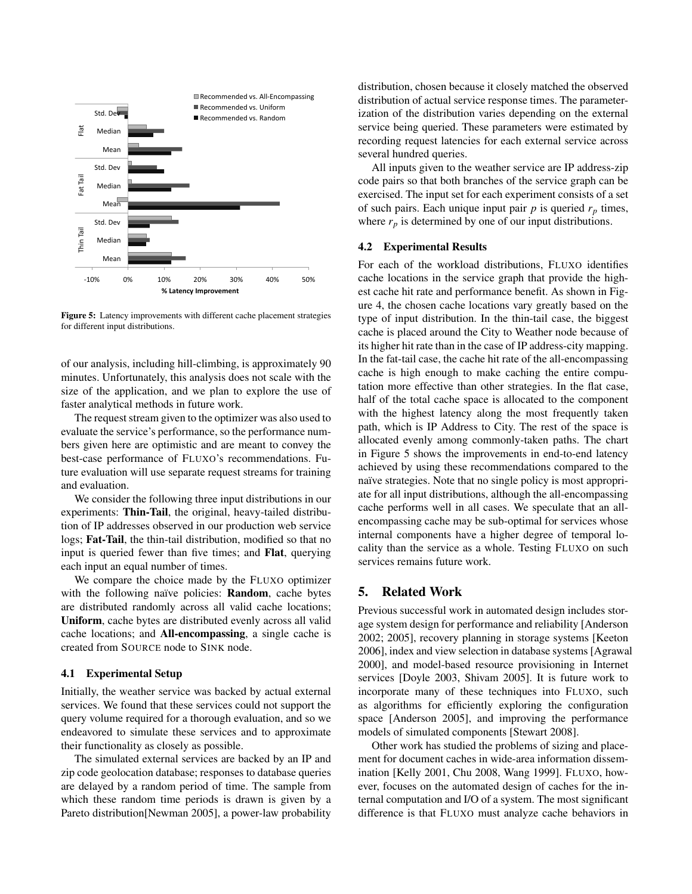

Figure 5: Latency improvements with different cache placement strategies for different input distributions.

of our analysis, including hill-climbing, is approximately 90 minutes. Unfortunately, this analysis does not scale with the size of the application, and we plan to explore the use of faster analytical methods in future work.

The request stream given to the optimizer was also used to evaluate the service's performance, so the performance numbers given here are optimistic and are meant to convey the best-case performance of FLUXO's recommendations. Future evaluation will use separate request streams for training and evaluation.

We consider the following three input distributions in our experiments: Thin-Tail, the original, heavy-tailed distribution of IP addresses observed in our production web service logs; Fat-Tail, the thin-tail distribution, modified so that no input is queried fewer than five times; and Flat, querying each input an equal number of times.

We compare the choice made by the FLUXO optimizer with the following naïve policies: Random, cache bytes are distributed randomly across all valid cache locations; Uniform, cache bytes are distributed evenly across all valid cache locations; and All-encompassing, a single cache is created from SOURCE node to SINK node.

#### 4.1 Experimental Setup

Initially, the weather service was backed by actual external services. We found that these services could not support the query volume required for a thorough evaluation, and so we endeavored to simulate these services and to approximate their functionality as closely as possible.

The simulated external services are backed by an IP and zip code geolocation database; responses to database queries are delayed by a random period of time. The sample from which these random time periods is drawn is given by a Pareto distribution[Newman 2005], a power-law probability

distribution, chosen because it closely matched the observed distribution of actual service response times. The parameterization of the distribution varies depending on the external service being queried. These parameters were estimated by recording request latencies for each external service across several hundred queries.

All inputs given to the weather service are IP address-zip code pairs so that both branches of the service graph can be exercised. The input set for each experiment consists of a set of such pairs. Each unique input pair  $p$  is queried  $r_p$  times, where  $r_p$  is determined by one of our input distributions.

#### 4.2 Experimental Results

For each of the workload distributions, FLUXO identifies cache locations in the service graph that provide the highest cache hit rate and performance benefit. As shown in Figure 4, the chosen cache locations vary greatly based on the type of input distribution. In the thin-tail case, the biggest cache is placed around the City to Weather node because of its higher hit rate than in the case of IP address-city mapping. In the fat-tail case, the cache hit rate of the all-encompassing cache is high enough to make caching the entire computation more effective than other strategies. In the flat case, half of the total cache space is allocated to the component with the highest latency along the most frequently taken path, which is IP Address to City. The rest of the space is allocated evenly among commonly-taken paths. The chart in Figure 5 shows the improvements in end-to-end latency achieved by using these recommendations compared to the naïve strategies. Note that no single policy is most appropriate for all input distributions, although the all-encompassing cache performs well in all cases. We speculate that an allencompassing cache may be sub-optimal for services whose internal components have a higher degree of temporal locality than the service as a whole. Testing FLUXO on such services remains future work.

## 5. Related Work

Previous successful work in automated design includes storage system design for performance and reliability [Anderson 2002; 2005], recovery planning in storage systems [Keeton 2006], index and view selection in database systems [Agrawal 2000], and model-based resource provisioning in Internet services [Doyle 2003, Shivam 2005]. It is future work to incorporate many of these techniques into FLUXO, such as algorithms for efficiently exploring the configuration space [Anderson 2005], and improving the performance models of simulated components [Stewart 2008].

Other work has studied the problems of sizing and placement for document caches in wide-area information dissemination [Kelly 2001, Chu 2008, Wang 1999]. FLUXO, however, focuses on the automated design of caches for the internal computation and I/O of a system. The most significant difference is that FLUXO must analyze cache behaviors in